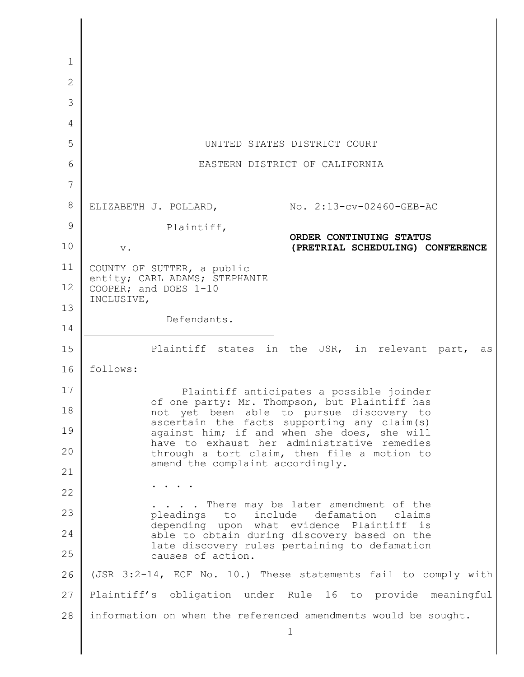| 1            |                                                                                                                                                                                                                                                                                                                                                                       |                                                             |
|--------------|-----------------------------------------------------------------------------------------------------------------------------------------------------------------------------------------------------------------------------------------------------------------------------------------------------------------------------------------------------------------------|-------------------------------------------------------------|
| $\mathbf{2}$ |                                                                                                                                                                                                                                                                                                                                                                       |                                                             |
| 3            |                                                                                                                                                                                                                                                                                                                                                                       |                                                             |
| 4            |                                                                                                                                                                                                                                                                                                                                                                       |                                                             |
| 5            | UNITED STATES DISTRICT COURT                                                                                                                                                                                                                                                                                                                                          |                                                             |
| 6            | EASTERN DISTRICT OF CALIFORNIA                                                                                                                                                                                                                                                                                                                                        |                                                             |
| 7            |                                                                                                                                                                                                                                                                                                                                                                       |                                                             |
| 8            | ELIZABETH J. POLLARD,                                                                                                                                                                                                                                                                                                                                                 | No. 2:13-cv-02460-GEB-AC                                    |
| 9            | Plaintiff,                                                                                                                                                                                                                                                                                                                                                            |                                                             |
| 10           | $V_{\bullet}$                                                                                                                                                                                                                                                                                                                                                         | ORDER CONTINUING STATUS<br>(PRETRIAL SCHEDULING) CONFERENCE |
| 11           | COUNTY OF SUTTER, a public                                                                                                                                                                                                                                                                                                                                            |                                                             |
| 12           | entity; CARL ADAMS; STEPHANIE<br>COOPER; and DOES 1-10                                                                                                                                                                                                                                                                                                                |                                                             |
| 13           | INCLUSIVE,                                                                                                                                                                                                                                                                                                                                                            |                                                             |
| 14           | Defendants.                                                                                                                                                                                                                                                                                                                                                           |                                                             |
| 15           |                                                                                                                                                                                                                                                                                                                                                                       | Plaintiff states in the JSR, in relevant part,<br>as        |
| 16           | follows:                                                                                                                                                                                                                                                                                                                                                              |                                                             |
| 17           | Plaintiff anticipates a possible joinder<br>of one party: Mr. Thompson, but Plaintiff has<br>not yet been able to pursue discovery to<br>ascertain the facts supporting any claim(s)<br>against him; if and when she does, she will<br>have to exhaust her administrative remedies<br>through a tort claim, then file a motion to<br>amend the complaint accordingly. |                                                             |
| 18           |                                                                                                                                                                                                                                                                                                                                                                       |                                                             |
| 19           |                                                                                                                                                                                                                                                                                                                                                                       |                                                             |
| 20           |                                                                                                                                                                                                                                                                                                                                                                       |                                                             |
| 21           |                                                                                                                                                                                                                                                                                                                                                                       |                                                             |
| 22           |                                                                                                                                                                                                                                                                                                                                                                       |                                                             |
| 23           | . There may be later amendment of the<br>to include<br>defamation<br>pleadings<br>claims<br>depending upon what evidence Plaintiff is<br>able to obtain during discovery based on the<br>late discovery rules pertaining to defamation<br>causes of action.                                                                                                           |                                                             |
| 24           |                                                                                                                                                                                                                                                                                                                                                                       |                                                             |
| 25           |                                                                                                                                                                                                                                                                                                                                                                       |                                                             |
| 26           | (JSR 3:2-14, ECF No. 10.) These statements fail to comply with                                                                                                                                                                                                                                                                                                        |                                                             |
| 27           | Plaintiff's obligation under Rule 16 to provide meaningful                                                                                                                                                                                                                                                                                                            |                                                             |
| 28           | information on when the referenced amendments would be sought.                                                                                                                                                                                                                                                                                                        |                                                             |
|              |                                                                                                                                                                                                                                                                                                                                                                       |                                                             |

I

 $\mathsf{l}$